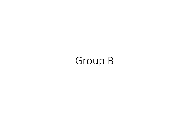## Group B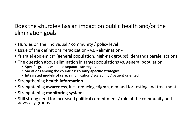## Does the «hurdle» has an impact on public health and/or the elimination goals

- Hurdles on the: individual / community / policy level
- Issue of the definitions «eradication» vs. «elimination»
- "Paralel epidemics" (general population, high‐risk groups): demands paralel actions
- The question about elimination in target populations vs. general population:
	- Specific groups will need **separate strategies**
	- Variations among the countries: **country‐specific strategies**
	- **Integrated models of care**: simplification / scalability / patient oriented
- Strengthening **health information**
- Strenghtening **awareness**, incl. reducing **stigma**, demand for testing and treatment
- Strenghtening **monitoring systems**
- Still strong need for increased political commitment / role of the community and<br>advocacy groups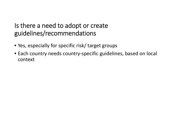## Is there <sup>a</sup> need to adopt or create guidelines/recommendations

- Yes, especially for specific risk/ target groups
- Each country needs country‐specific guidelines, based on local context